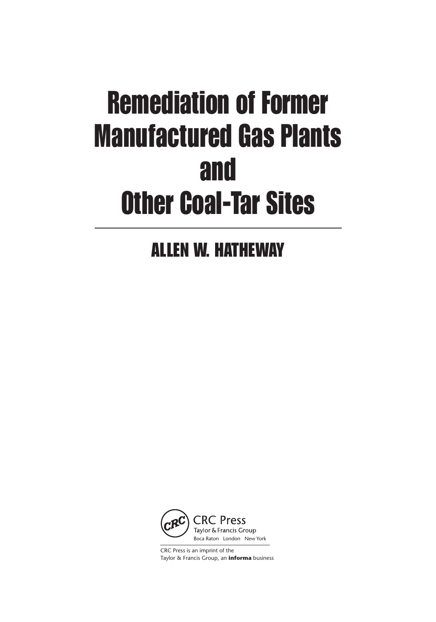# Remediation of Former Manufactured Gas Plants and Other Coal-Tar Sites

ALLEN W. HATHEWAY



CRC Press is an imprint of the Taylor & Francis Group, an **informa** business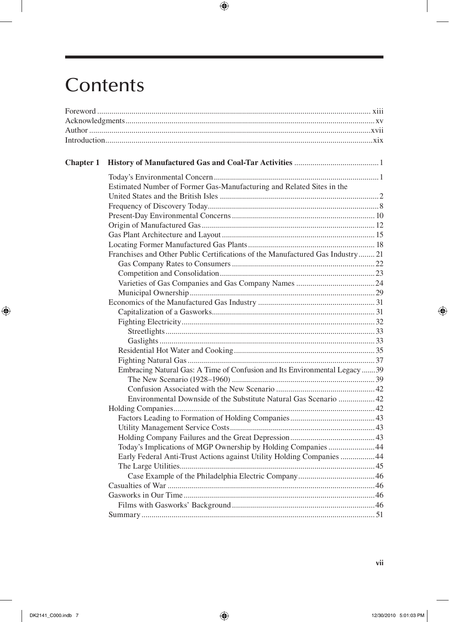## Contents

 $\overline{\phantom{a}}$ 

 $\bigoplus$ 

| <b>Chapter 1</b> |                                                                                |  |
|------------------|--------------------------------------------------------------------------------|--|
|                  |                                                                                |  |
|                  | Estimated Number of Former Gas-Manufacturing and Related Sites in the          |  |
|                  |                                                                                |  |
|                  |                                                                                |  |
|                  |                                                                                |  |
|                  |                                                                                |  |
|                  |                                                                                |  |
|                  |                                                                                |  |
|                  | Franchises and Other Public Certifications of the Manufactured Gas Industry 21 |  |
|                  |                                                                                |  |
|                  |                                                                                |  |
|                  |                                                                                |  |
|                  |                                                                                |  |
|                  |                                                                                |  |
|                  |                                                                                |  |
|                  |                                                                                |  |
|                  |                                                                                |  |
|                  |                                                                                |  |
|                  |                                                                                |  |
|                  |                                                                                |  |
|                  | Embracing Natural Gas: A Time of Confusion and Its Environmental Legacy 39     |  |
|                  |                                                                                |  |
|                  |                                                                                |  |
|                  | Environmental Downside of the Substitute Natural Gas Scenario  42              |  |
|                  |                                                                                |  |
|                  |                                                                                |  |
|                  |                                                                                |  |
|                  |                                                                                |  |
|                  | Today's Implications of MGP Ownership by Holding Companies 44                  |  |
|                  | Early Federal Anti-Trust Actions against Utility Holding Companies  44         |  |
|                  |                                                                                |  |
|                  |                                                                                |  |
|                  |                                                                                |  |
|                  |                                                                                |  |
|                  |                                                                                |  |
|                  |                                                                                |  |

 $\bigoplus$ 

 $\bigoplus$ 

I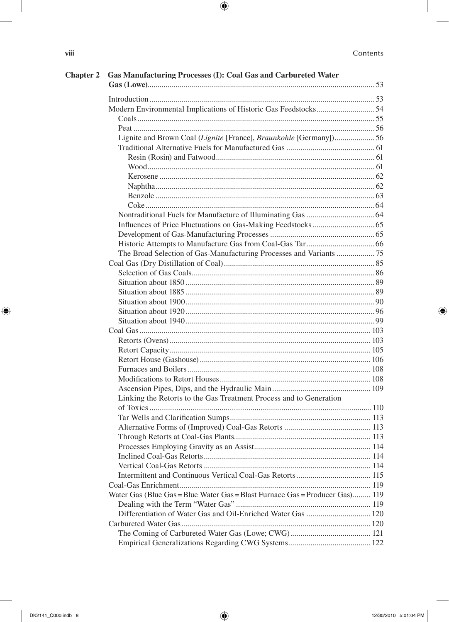$\overline{\phantom{a}}$ 

 $\bigoplus$ 

| Chapter 2 Gas Manufacturing Processes (I): Coal Gas and Carbureted Water     |  |
|------------------------------------------------------------------------------|--|
|                                                                              |  |
| Modern Environmental Implications of Historic Gas Feedstocks54               |  |
|                                                                              |  |
|                                                                              |  |
| Lignite and Brown Coal (Lignite [France], Braunkohle [Germany])56            |  |
|                                                                              |  |
|                                                                              |  |
|                                                                              |  |
|                                                                              |  |
|                                                                              |  |
|                                                                              |  |
|                                                                              |  |
|                                                                              |  |
|                                                                              |  |
|                                                                              |  |
|                                                                              |  |
| The Broad Selection of Gas-Manufacturing Processes and Variants 75           |  |
|                                                                              |  |
|                                                                              |  |
|                                                                              |  |
|                                                                              |  |
|                                                                              |  |
|                                                                              |  |
|                                                                              |  |
|                                                                              |  |
|                                                                              |  |
|                                                                              |  |
|                                                                              |  |
|                                                                              |  |
|                                                                              |  |
|                                                                              |  |
| Linking the Retorts to the Gas Treatment Process and to Generation           |  |
|                                                                              |  |
|                                                                              |  |
|                                                                              |  |
|                                                                              |  |
|                                                                              |  |
|                                                                              |  |
|                                                                              |  |
|                                                                              |  |
| Water Gas (Blue Gas = Blue Water Gas = Blast Furnace Gas = Producer Gas) 119 |  |
|                                                                              |  |
| Differentiation of Water Gas and Oil-Enriched Water Gas  120                 |  |
|                                                                              |  |
|                                                                              |  |
|                                                                              |  |
|                                                                              |  |

 $\bigoplus$ 

 $\bigoplus$ 

viii

 $\overline{\phantom{a}}$ 

 $\bigoplus$ 

12/30/2010 5:01:04 PM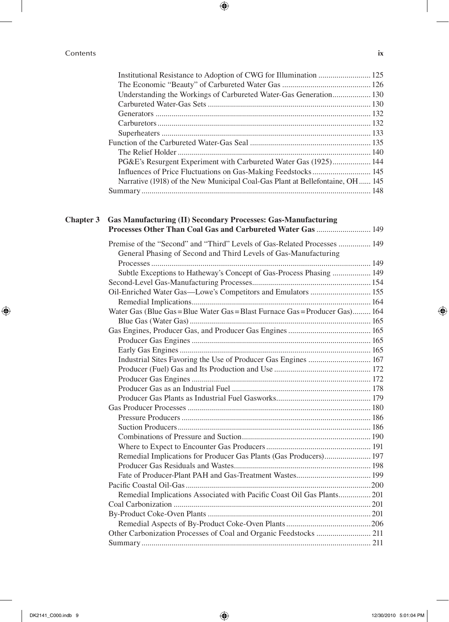#### Contents **ix**

| Understanding the Workings of Carbureted Water-Gas Generation 130              |  |
|--------------------------------------------------------------------------------|--|
|                                                                                |  |
|                                                                                |  |
|                                                                                |  |
|                                                                                |  |
|                                                                                |  |
|                                                                                |  |
| PG&E's Resurgent Experiment with Carbureted Water Gas (1925) 144               |  |
|                                                                                |  |
| Narrative (1918) of the New Municipal Coal-Gas Plant at Bellefontaine, OH  145 |  |
|                                                                                |  |
|                                                                                |  |

 $\bigoplus$ 

#### **Chapter 3 Gas Manufacturing (II) Secondary Processes: Gas-Manufacturing Processes Other Than Coal Gas and Carbureted Water Gas**............................ 149

| Premise of the "Second" and "Third" Levels of Gas-Related Processes  149     |  |
|------------------------------------------------------------------------------|--|
| General Phasing of Second and Third Levels of Gas-Manufacturing              |  |
|                                                                              |  |
| Subtle Exceptions to Hatheway's Concept of Gas-Process Phasing  149          |  |
|                                                                              |  |
|                                                                              |  |
|                                                                              |  |
| Water Gas (Blue Gas = Blue Water Gas = Blast Furnace Gas = Producer Gas) 164 |  |
|                                                                              |  |
|                                                                              |  |
|                                                                              |  |
|                                                                              |  |
| Industrial Sites Favoring the Use of Producer Gas Engines  167               |  |
|                                                                              |  |
|                                                                              |  |
|                                                                              |  |
|                                                                              |  |
|                                                                              |  |
|                                                                              |  |
|                                                                              |  |
|                                                                              |  |
|                                                                              |  |
| Remedial Implications for Producer Gas Plants (Gas Producers) 197            |  |
|                                                                              |  |
|                                                                              |  |
|                                                                              |  |
| Remedial Implications Associated with Pacific Coast Oil Gas Plants 201       |  |
|                                                                              |  |
|                                                                              |  |
|                                                                              |  |
| Other Carbonization Processes of Coal and Organic Feedstocks  211            |  |
|                                                                              |  |

 $\bigoplus$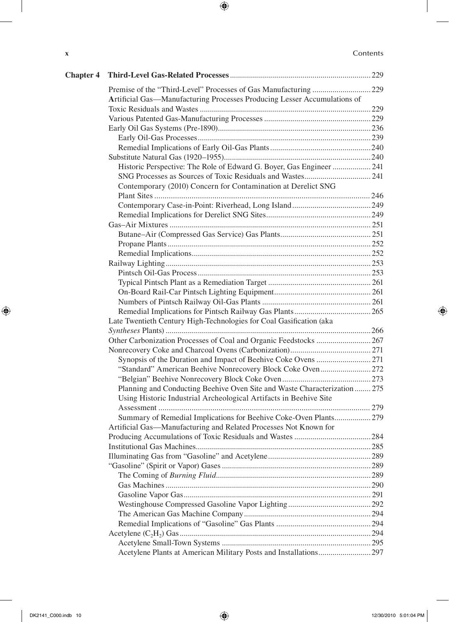#### **x** Contents

 $\overline{\phantom{a}}$ 

 $\bigoplus$ 

| <b>Chapter 4</b> |                                                                          |  |
|------------------|--------------------------------------------------------------------------|--|
|                  |                                                                          |  |
|                  | Artificial Gas-Manufacturing Processes Producing Lesser Accumulations of |  |
|                  |                                                                          |  |
|                  |                                                                          |  |
|                  |                                                                          |  |
|                  |                                                                          |  |
|                  |                                                                          |  |
|                  |                                                                          |  |
|                  | Historic Perspective: The Role of Edward G. Boyer, Gas Engineer  241     |  |
|                  |                                                                          |  |
|                  | Contemporary (2010) Concern for Contamination at Derelict SNG            |  |
|                  |                                                                          |  |
|                  |                                                                          |  |
|                  |                                                                          |  |
|                  |                                                                          |  |
|                  |                                                                          |  |
|                  |                                                                          |  |
|                  |                                                                          |  |
|                  |                                                                          |  |
|                  |                                                                          |  |
|                  |                                                                          |  |
|                  |                                                                          |  |
|                  |                                                                          |  |
|                  |                                                                          |  |
|                  | Late Twentieth Century High-Technologies for Coal Gasification (aka      |  |
|                  |                                                                          |  |
|                  |                                                                          |  |
|                  |                                                                          |  |
|                  |                                                                          |  |
|                  | "Standard" American Beehive Nonrecovery Block Coke Oven272               |  |
|                  |                                                                          |  |
|                  | Planning and Conducting Beehive Oven Site and Waste Characterization 275 |  |
|                  | Using Historic Industrial Archeological Artifacts in Beehive Site        |  |
|                  |                                                                          |  |
|                  | Summary of Remedial Implications for Beehive Coke-Oven Plants 279        |  |
|                  | Artificial Gas—Manufacturing and Related Processes Not Known for         |  |
|                  |                                                                          |  |
|                  |                                                                          |  |
|                  |                                                                          |  |
|                  |                                                                          |  |
|                  |                                                                          |  |
|                  |                                                                          |  |
|                  |                                                                          |  |
|                  |                                                                          |  |
|                  |                                                                          |  |
|                  |                                                                          |  |
|                  |                                                                          |  |
|                  |                                                                          |  |
|                  |                                                                          |  |

 $\bigoplus$ 

 $\overline{\phantom{a}}$ 

 $\bigoplus$ 

ı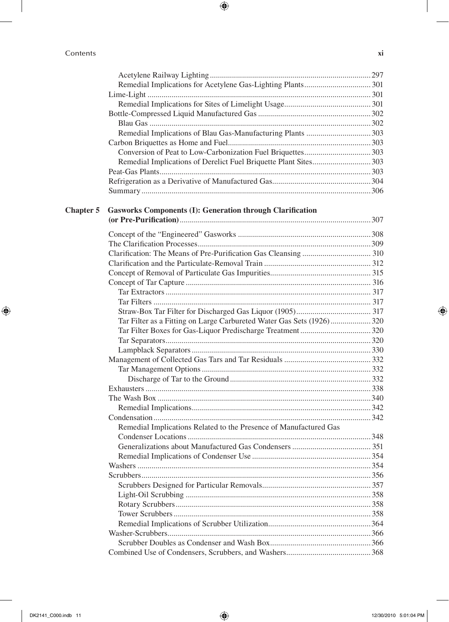| Contents | XI |
|----------|----|
|          |    |

 $\overline{\phantom{a}}$ 

 $\bigoplus$ 

|                  | Remedial Implications of Derelict Fuel Briquette Plant Sites303      |  |
|------------------|----------------------------------------------------------------------|--|
|                  |                                                                      |  |
|                  |                                                                      |  |
|                  |                                                                      |  |
| <b>Chapter 5</b> | <b>Gasworks Components (I): Generation through Clarification</b>     |  |
|                  |                                                                      |  |
|                  |                                                                      |  |
|                  |                                                                      |  |
|                  |                                                                      |  |
|                  |                                                                      |  |
|                  |                                                                      |  |
|                  |                                                                      |  |
|                  |                                                                      |  |
|                  |                                                                      |  |
|                  |                                                                      |  |
|                  | Tar Filter as a Fitting on Large Carbureted Water Gas Sets (1926)320 |  |
|                  |                                                                      |  |
|                  |                                                                      |  |
|                  |                                                                      |  |
|                  |                                                                      |  |
|                  |                                                                      |  |
|                  |                                                                      |  |
|                  |                                                                      |  |
|                  |                                                                      |  |
|                  |                                                                      |  |
|                  |                                                                      |  |
|                  |                                                                      |  |
|                  | Remedial Implications Related to the Presence of Manufactured Gas    |  |
|                  |                                                                      |  |
|                  |                                                                      |  |
|                  |                                                                      |  |
|                  |                                                                      |  |
|                  |                                                                      |  |
|                  |                                                                      |  |
|                  |                                                                      |  |
|                  |                                                                      |  |
|                  |                                                                      |  |
|                  |                                                                      |  |
|                  |                                                                      |  |
|                  |                                                                      |  |
|                  |                                                                      |  |

 $\bigoplus$ 

 $\overline{\phantom{a}}$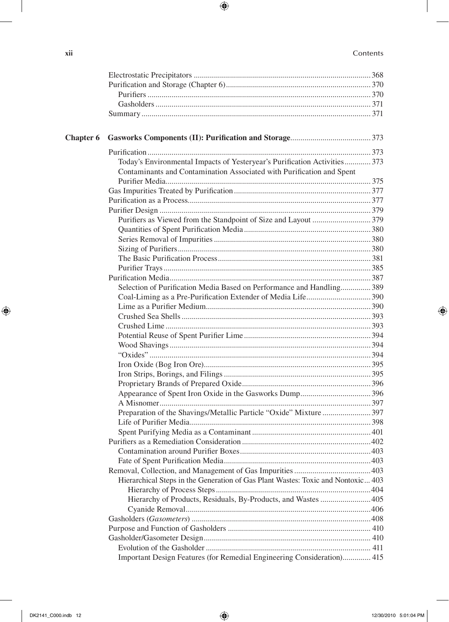### **xii** Contents

 $\overline{\phantom{a}}$ 

 $\bigoplus$ 

| <b>Chapter 6</b> |                                                                                  |  |
|------------------|----------------------------------------------------------------------------------|--|
|                  |                                                                                  |  |
|                  | Today's Environmental Impacts of Yesteryear's Purification Activities 373        |  |
|                  | Contaminants and Contamination Associated with Purification and Spent            |  |
|                  |                                                                                  |  |
|                  |                                                                                  |  |
|                  |                                                                                  |  |
|                  |                                                                                  |  |
|                  |                                                                                  |  |
|                  |                                                                                  |  |
|                  |                                                                                  |  |
|                  |                                                                                  |  |
|                  |                                                                                  |  |
|                  |                                                                                  |  |
|                  |                                                                                  |  |
|                  | Selection of Purification Media Based on Performance and Handling 389            |  |
|                  |                                                                                  |  |
|                  |                                                                                  |  |
|                  |                                                                                  |  |
|                  |                                                                                  |  |
|                  |                                                                                  |  |
|                  |                                                                                  |  |
|                  |                                                                                  |  |
|                  |                                                                                  |  |
|                  |                                                                                  |  |
|                  |                                                                                  |  |
|                  |                                                                                  |  |
|                  |                                                                                  |  |
|                  |                                                                                  |  |
|                  |                                                                                  |  |
|                  |                                                                                  |  |
|                  |                                                                                  |  |
|                  |                                                                                  |  |
|                  |                                                                                  |  |
|                  | Hierarchical Steps in the Generation of Gas Plant Wastes: Toxic and Nontoxic 403 |  |
|                  |                                                                                  |  |
|                  | Hierarchy of Products, Residuals, By-Products, and Wastes  405                   |  |
|                  |                                                                                  |  |
|                  |                                                                                  |  |
|                  |                                                                                  |  |
|                  |                                                                                  |  |
|                  |                                                                                  |  |
|                  | Important Design Features (for Remedial Engineering Consideration) 415           |  |
|                  |                                                                                  |  |

 $\bigoplus$ 

 $\overline{\phantom{a}}$ 

 $\bigoplus$ 

DK2141\_C000.indb 12 12/30/2010 5:01:04 PM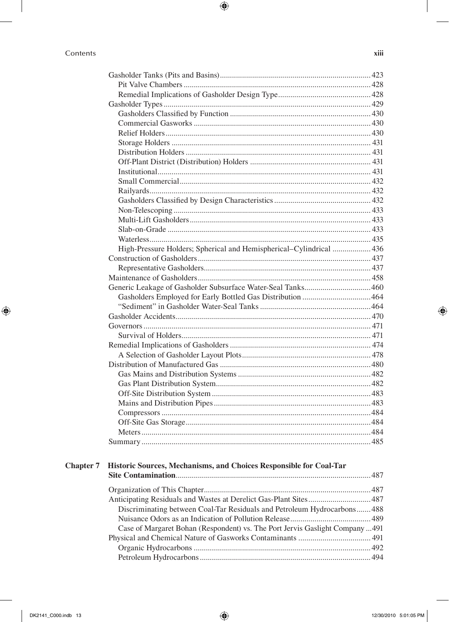|  | Contents |
|--|----------|
|  |          |

| v        |   |     |   |
|----------|---|-----|---|
| e e<br>- | - | . . | - |

|                  | High-Pressure Holders; Spherical and Hemispherical-Cylindrical  436           |  |
|------------------|-------------------------------------------------------------------------------|--|
|                  |                                                                               |  |
|                  |                                                                               |  |
|                  |                                                                               |  |
|                  |                                                                               |  |
|                  |                                                                               |  |
|                  |                                                                               |  |
|                  |                                                                               |  |
|                  |                                                                               |  |
|                  |                                                                               |  |
|                  |                                                                               |  |
|                  |                                                                               |  |
|                  |                                                                               |  |
|                  |                                                                               |  |
|                  |                                                                               |  |
|                  |                                                                               |  |
|                  |                                                                               |  |
|                  |                                                                               |  |
|                  |                                                                               |  |
|                  |                                                                               |  |
|                  |                                                                               |  |
| <b>Chapter 7</b> | Historic Sources, Mechanisms, and Choices Responsible for Coal-Tar            |  |
|                  |                                                                               |  |
|                  |                                                                               |  |
|                  | Anticipating Residuals and Wastes at Derelict Gas-Plant Sites 487             |  |
|                  | Discriminating between Coal-Tar Residuals and Petroleum Hydrocarbons 488      |  |
|                  |                                                                               |  |
|                  | Case of Margaret Bohan (Respondent) vs. The Port Jervis Gaslight Company  491 |  |

 $\bigoplus$ 

 $\bigoplus$ 

 $\bigoplus$ 

 $\bigoplus$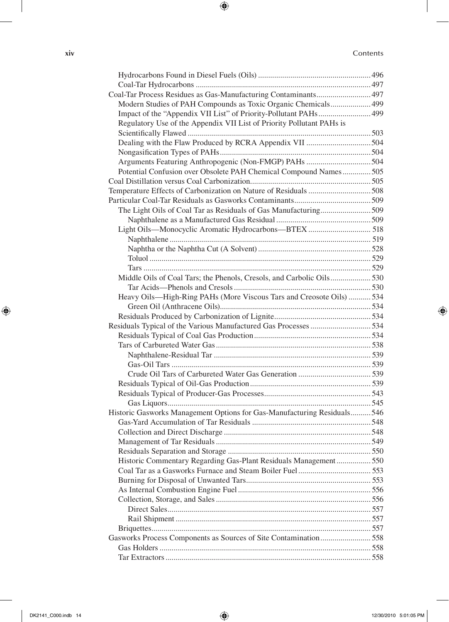**xiv** Contents

 $\overline{\phantom{a}}$ 

 $\bigoplus$ 

| Coal-Tar Process Residues as Gas-Manufacturing Contaminants 497         |  |
|-------------------------------------------------------------------------|--|
| Modern Studies of PAH Compounds as Toxic Organic Chemicals 499          |  |
| Impact of the "Appendix VII List" of Priority-Pollutant PAHs 499        |  |
| Regulatory Use of the Appendix VII List of Priority Pollutant PAHs is   |  |
|                                                                         |  |
|                                                                         |  |
|                                                                         |  |
| Arguments Featuring Anthropogenic (Non-FMGP) PAHs 504                   |  |
| Potential Confusion over Obsolete PAH Chemical Compound Names505        |  |
|                                                                         |  |
|                                                                         |  |
|                                                                         |  |
| The Light Oils of Coal Tar as Residuals of Gas Manufacturing509         |  |
|                                                                         |  |
| Light Oils-Monocyclic Aromatic Hydrocarbons-BTEX  518                   |  |
|                                                                         |  |
|                                                                         |  |
|                                                                         |  |
|                                                                         |  |
|                                                                         |  |
|                                                                         |  |
| Heavy Oils-High-Ring PAHs (More Viscous Tars and Creosote Oils)  534    |  |
|                                                                         |  |
|                                                                         |  |
| Residuals Typical of the Various Manufactured Gas Processes 534         |  |
|                                                                         |  |
|                                                                         |  |
|                                                                         |  |
|                                                                         |  |
|                                                                         |  |
|                                                                         |  |
|                                                                         |  |
|                                                                         |  |
| Historic Gasworks Management Options for Gas-Manufacturing Residuals546 |  |
|                                                                         |  |
|                                                                         |  |
|                                                                         |  |
|                                                                         |  |
| Historic Commentary Regarding Gas-Plant Residuals Management 550        |  |
|                                                                         |  |
|                                                                         |  |
|                                                                         |  |
|                                                                         |  |
|                                                                         |  |
|                                                                         |  |
|                                                                         |  |
| Gasworks Process Components as Sources of Site Contamination 558        |  |
|                                                                         |  |
|                                                                         |  |
|                                                                         |  |

 $\bigoplus$ 

 $\overline{\phantom{a}}$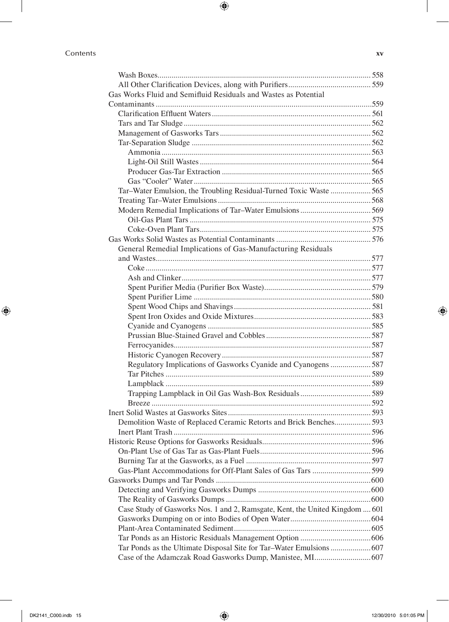#### Contents **xv**

 $\overline{\phantom{a}}$ 

 $\bigoplus$ 

 $\overline{\phantom{a}}$ 

 $\bigoplus$ 

| Gas Works Fluid and Semifluid Residuals and Wastes as Potential              |  |
|------------------------------------------------------------------------------|--|
|                                                                              |  |
|                                                                              |  |
|                                                                              |  |
|                                                                              |  |
|                                                                              |  |
|                                                                              |  |
|                                                                              |  |
|                                                                              |  |
|                                                                              |  |
| Tar-Water Emulsion, the Troubling Residual-Turned Toxic Waste 565            |  |
|                                                                              |  |
|                                                                              |  |
|                                                                              |  |
|                                                                              |  |
|                                                                              |  |
| General Remedial Implications of Gas-Manufacturing Residuals                 |  |
|                                                                              |  |
|                                                                              |  |
|                                                                              |  |
|                                                                              |  |
|                                                                              |  |
|                                                                              |  |
|                                                                              |  |
|                                                                              |  |
|                                                                              |  |
|                                                                              |  |
| Regulatory Implications of Gasworks Cyanide and Cyanogens 587                |  |
|                                                                              |  |
|                                                                              |  |
|                                                                              |  |
|                                                                              |  |
|                                                                              |  |
| Demolition Waste of Replaced Ceramic Retorts and Brick Benches593            |  |
|                                                                              |  |
|                                                                              |  |
|                                                                              |  |
|                                                                              |  |
|                                                                              |  |
|                                                                              |  |
|                                                                              |  |
|                                                                              |  |
| Case Study of Gasworks Nos. 1 and 2, Ramsgate, Kent, the United Kingdom  601 |  |
|                                                                              |  |
|                                                                              |  |
|                                                                              |  |
|                                                                              |  |
|                                                                              |  |
|                                                                              |  |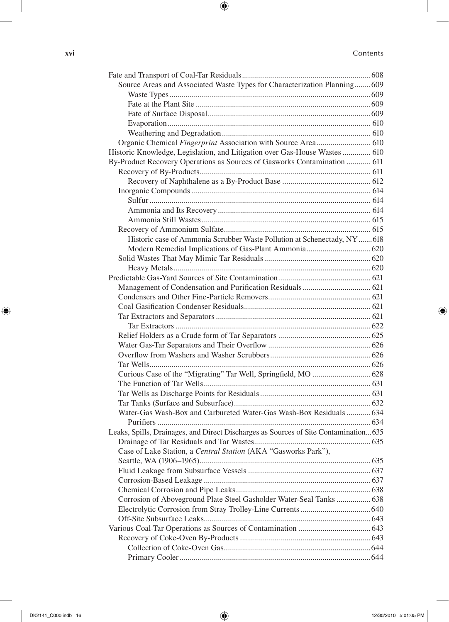#### **xvi** Contents

 $\overline{\phantom{a}}$ 

 $\bigoplus$ 

| Source Areas and Associated Waste Types for Characterization Planning 609            |  |
|--------------------------------------------------------------------------------------|--|
|                                                                                      |  |
|                                                                                      |  |
|                                                                                      |  |
|                                                                                      |  |
|                                                                                      |  |
| Organic Chemical Fingerprint Association with Source Area 610                        |  |
| Historic Knowledge, Legislation, and Litigation over Gas-House Wastes  610           |  |
| By-Product Recovery Operations as Sources of Gasworks Contamination  611             |  |
|                                                                                      |  |
|                                                                                      |  |
|                                                                                      |  |
|                                                                                      |  |
|                                                                                      |  |
|                                                                                      |  |
|                                                                                      |  |
| Historic case of Ammonia Scrubber Waste Pollution at Schenectady, NY  618            |  |
|                                                                                      |  |
|                                                                                      |  |
|                                                                                      |  |
|                                                                                      |  |
|                                                                                      |  |
|                                                                                      |  |
|                                                                                      |  |
|                                                                                      |  |
|                                                                                      |  |
|                                                                                      |  |
|                                                                                      |  |
|                                                                                      |  |
|                                                                                      |  |
|                                                                                      |  |
|                                                                                      |  |
|                                                                                      |  |
|                                                                                      |  |
|                                                                                      |  |
| Water-Gas Wash-Box and Carbureted Water-Gas Wash-Box Residuals  634                  |  |
|                                                                                      |  |
| Leaks, Spills, Drainages, and Direct Discharges as Sources of Site Contamination 635 |  |
|                                                                                      |  |
| Case of Lake Station, a Central Station (AKA "Gasworks Park"),                       |  |
|                                                                                      |  |
|                                                                                      |  |
|                                                                                      |  |
|                                                                                      |  |
| Corrosion of Aboveground Plate Steel Gasholder Water-Seal Tanks  638                 |  |
|                                                                                      |  |
|                                                                                      |  |
|                                                                                      |  |
|                                                                                      |  |
|                                                                                      |  |
|                                                                                      |  |

 $\bigoplus$ 

 $\overline{\phantom{a}}$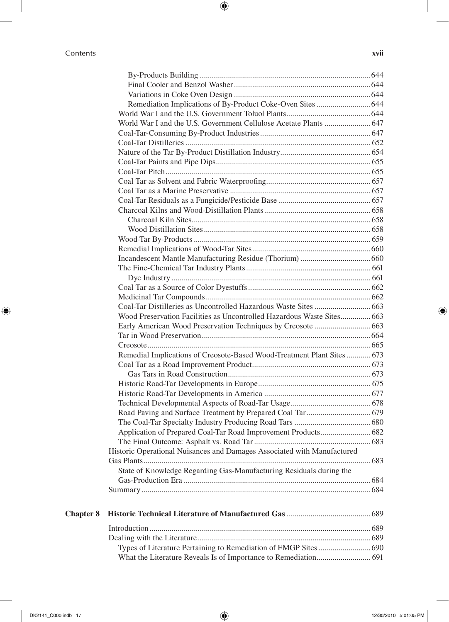$\mathbf{I}$ 

 $\bigoplus$ 

|                  | Wood Preservation Facilities as Uncontrolled Hazardous Waste Sites 663  |  |
|------------------|-------------------------------------------------------------------------|--|
|                  |                                                                         |  |
|                  |                                                                         |  |
|                  |                                                                         |  |
|                  | Remedial Implications of Creosote-Based Wood-Treatment Plant Sites  673 |  |
|                  |                                                                         |  |
|                  |                                                                         |  |
|                  |                                                                         |  |
|                  |                                                                         |  |
|                  |                                                                         |  |
|                  |                                                                         |  |
|                  |                                                                         |  |
|                  | Application of Prepared Coal-Tar Road Improvement Products 682          |  |
|                  |                                                                         |  |
|                  | Historic Operational Nuisances and Damages Associated with Manufactured |  |
|                  |                                                                         |  |
|                  | State of Knowledge Regarding Gas-Manufacturing Residuals during the     |  |
|                  |                                                                         |  |
|                  |                                                                         |  |
| <b>Chapter 8</b> |                                                                         |  |
|                  |                                                                         |  |
|                  |                                                                         |  |
|                  |                                                                         |  |
|                  |                                                                         |  |

 $\bigoplus$ 

 $\bigoplus$ 

What the Literature Reveals Is of Importance to Remediation............................ 691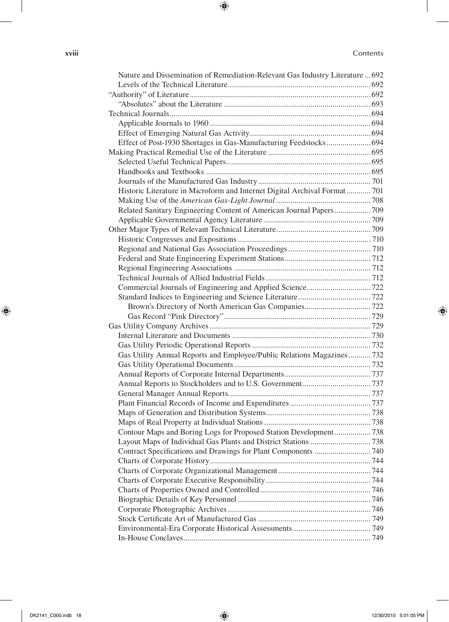#### **xviii** Contents

 $\overline{\phantom{a}}$ 

 $\bigoplus$ 

| Nature and Dissemination of Remediation-Relevant Gas Industry Literature  692 |  |
|-------------------------------------------------------------------------------|--|
|                                                                               |  |
|                                                                               |  |
|                                                                               |  |
|                                                                               |  |
|                                                                               |  |
|                                                                               |  |
| Effect of Post-1930 Shortages in Gas-Manufacturing Feedstocks 694             |  |
|                                                                               |  |
|                                                                               |  |
|                                                                               |  |
|                                                                               |  |
| Historic Literature in Microform and Internet Digital Archival Format  701    |  |
|                                                                               |  |
| Related Sanitary Engineering Content of American Journal Papers 709           |  |
|                                                                               |  |
|                                                                               |  |
|                                                                               |  |
|                                                                               |  |
|                                                                               |  |
|                                                                               |  |
|                                                                               |  |
|                                                                               |  |
|                                                                               |  |
|                                                                               |  |
|                                                                               |  |
|                                                                               |  |
|                                                                               |  |
|                                                                               |  |
| Gas Utility Annual Reports and Employee/Public Relations Magazines732         |  |
|                                                                               |  |
|                                                                               |  |
|                                                                               |  |
|                                                                               |  |
|                                                                               |  |
|                                                                               |  |
|                                                                               |  |
| Contour Maps and Boring Logs for Proposed Station Development738              |  |
|                                                                               |  |
|                                                                               |  |
|                                                                               |  |
|                                                                               |  |
|                                                                               |  |
|                                                                               |  |
|                                                                               |  |
|                                                                               |  |
|                                                                               |  |
|                                                                               |  |
|                                                                               |  |

 $\bigoplus$ 

 $\overline{\phantom{a}}$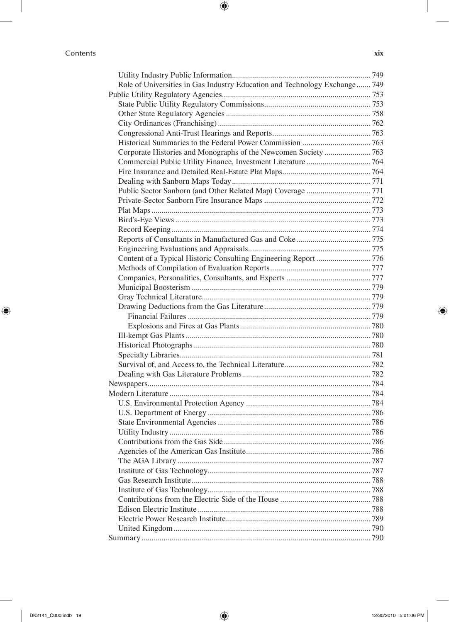#### Contents **xix**

 $\overline{\phantom{a}}$ 

 $\bigoplus$ 

| Role of Universities in Gas Industry Education and Technology Exchange 749 |  |
|----------------------------------------------------------------------------|--|
|                                                                            |  |
|                                                                            |  |
|                                                                            |  |
|                                                                            |  |
|                                                                            |  |
|                                                                            |  |
| Corporate Histories and Monographs of the Newcomen Society  763            |  |
|                                                                            |  |
|                                                                            |  |
|                                                                            |  |
|                                                                            |  |
|                                                                            |  |
|                                                                            |  |
|                                                                            |  |
|                                                                            |  |
|                                                                            |  |
|                                                                            |  |
| Content of a Typical Historic Consulting Engineering Report  776           |  |
|                                                                            |  |
|                                                                            |  |
|                                                                            |  |
|                                                                            |  |
|                                                                            |  |
|                                                                            |  |
|                                                                            |  |
|                                                                            |  |
|                                                                            |  |
|                                                                            |  |
|                                                                            |  |
|                                                                            |  |
|                                                                            |  |
|                                                                            |  |
|                                                                            |  |
|                                                                            |  |
|                                                                            |  |
|                                                                            |  |
|                                                                            |  |
|                                                                            |  |
|                                                                            |  |
|                                                                            |  |
|                                                                            |  |
|                                                                            |  |
|                                                                            |  |
|                                                                            |  |
|                                                                            |  |
|                                                                            |  |
|                                                                            |  |
|                                                                            |  |

 $\bigoplus$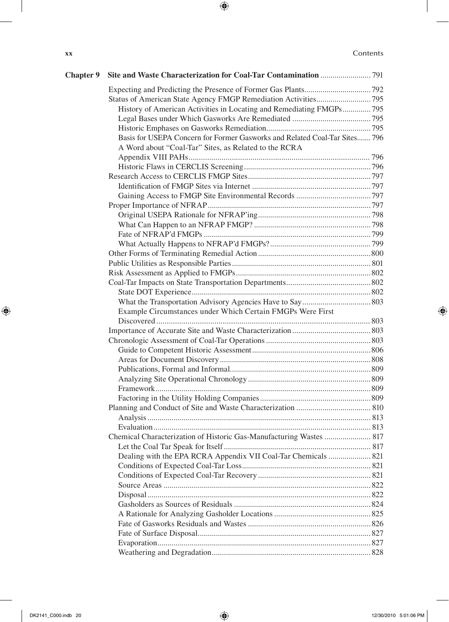| XX | Contents |
|----|----------|
|    |          |

 $\overline{\phantom{a}}$ 

 $\bigoplus$ 

| <b>Chapter 9</b> |                                                                            |  |
|------------------|----------------------------------------------------------------------------|--|
|                  |                                                                            |  |
|                  |                                                                            |  |
|                  | History of American Activities in Locating and Remediating FMGPs795        |  |
|                  |                                                                            |  |
|                  |                                                                            |  |
|                  | Basis for USEPA Concern for Former Gasworks and Related Coal-Tar Sites 796 |  |
|                  | A Word about "Coal-Tar" Sites, as Related to the RCRA                      |  |
|                  |                                                                            |  |
|                  |                                                                            |  |
|                  |                                                                            |  |
|                  |                                                                            |  |
|                  |                                                                            |  |
|                  |                                                                            |  |
|                  |                                                                            |  |
|                  |                                                                            |  |
|                  |                                                                            |  |
|                  |                                                                            |  |
|                  |                                                                            |  |
|                  |                                                                            |  |
|                  |                                                                            |  |
|                  |                                                                            |  |
|                  |                                                                            |  |
|                  |                                                                            |  |
|                  | Example Circumstances under Which Certain FMGPs Were First                 |  |
|                  |                                                                            |  |
|                  |                                                                            |  |
|                  |                                                                            |  |
|                  |                                                                            |  |
|                  |                                                                            |  |
|                  |                                                                            |  |
|                  |                                                                            |  |
|                  |                                                                            |  |
|                  |                                                                            |  |
|                  |                                                                            |  |
|                  |                                                                            |  |
|                  |                                                                            |  |
|                  | Chemical Characterization of Historic Gas-Manufacturing Wastes  817        |  |
|                  |                                                                            |  |
|                  | Dealing with the EPA RCRA Appendix VII Coal-Tar Chemicals  821             |  |
|                  |                                                                            |  |
|                  |                                                                            |  |
|                  |                                                                            |  |
|                  |                                                                            |  |
|                  |                                                                            |  |
|                  |                                                                            |  |
|                  |                                                                            |  |
|                  |                                                                            |  |
|                  |                                                                            |  |
|                  |                                                                            |  |

 $\bigoplus$ 

 $\overline{\phantom{a}}$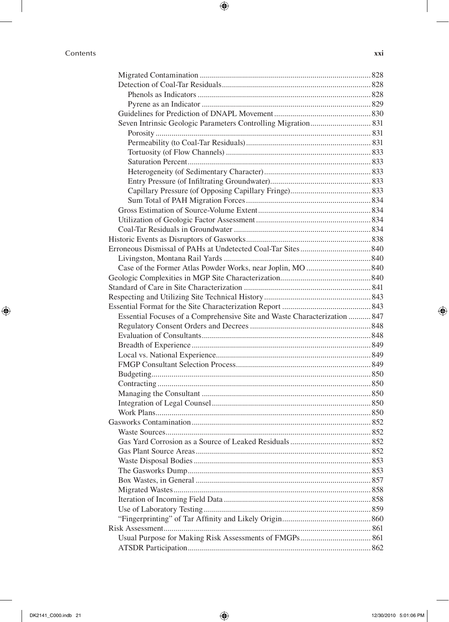#### Contents **xxi**

 $\overline{\phantom{a}}$ 

 $\bigoplus$ 

| Essential Focuses of a Comprehensive Site and Waste Characterization  847 |  |
|---------------------------------------------------------------------------|--|
|                                                                           |  |
|                                                                           |  |
|                                                                           |  |
|                                                                           |  |
|                                                                           |  |
|                                                                           |  |
|                                                                           |  |
|                                                                           |  |
|                                                                           |  |
|                                                                           |  |
|                                                                           |  |
|                                                                           |  |
|                                                                           |  |
|                                                                           |  |
|                                                                           |  |
|                                                                           |  |
|                                                                           |  |
|                                                                           |  |
|                                                                           |  |
|                                                                           |  |
|                                                                           |  |
|                                                                           |  |
|                                                                           |  |
|                                                                           |  |
|                                                                           |  |

 $\bigoplus$ 

 $\overline{\phantom{a}}$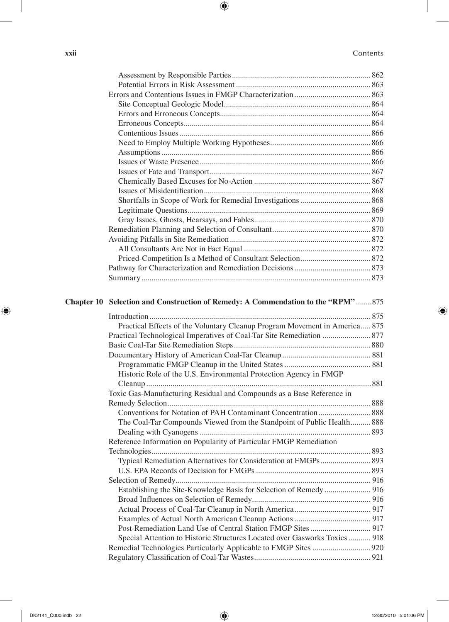#### **xxii** Contents

 $\overline{\phantom{a}}$ 

 $\bigoplus$ 

| Chapter 10 Selection and Construction of Remedy: A Commendation to the "RPM"875                                                                           |  |
|-----------------------------------------------------------------------------------------------------------------------------------------------------------|--|
|                                                                                                                                                           |  |
| Practical Effects of the Voluntary Cleanup Program Movement in America 875                                                                                |  |
| $D_{\text{max}}$ that The leads of Latitude and Latitude of $D_{\text{max}}$ $D_{\text{max}}$ $D_{\text{max}}$ distinct $D_{\text{max}}$ $D_{\text{max}}$ |  |

 $\bigoplus$ 

| Practical Effects of the Voluntary Cleanup Program Movement in America 875 |
|----------------------------------------------------------------------------|
| Practical Technological Imperatives of Coal-Tar Site Remediation  877      |
|                                                                            |
|                                                                            |
|                                                                            |
| Historic Role of the U.S. Environmental Protection Agency in FMGP          |
|                                                                            |
| Toxic Gas-Manufacturing Residual and Compounds as a Base Reference in      |
|                                                                            |
|                                                                            |
| The Coal-Tar Compounds Viewed from the Standpoint of Public Health 888     |
|                                                                            |
| Reference Information on Popularity of Particular FMGP Remediation         |
|                                                                            |
| Typical Remediation Alternatives for Consideration at FMGPs 893            |
|                                                                            |
|                                                                            |
|                                                                            |
|                                                                            |
|                                                                            |
|                                                                            |
|                                                                            |
| Special Attention to Historic Structures Located over Gasworks Toxics  918 |
|                                                                            |
|                                                                            |

 $\overline{\phantom{a}}$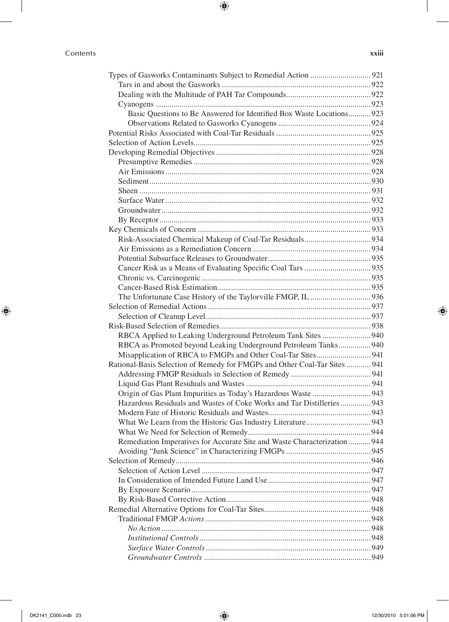#### Contents **xxiii**

| Basic Questions to Be Answered for Identified Box Waste Locations 923      |  |
|----------------------------------------------------------------------------|--|
|                                                                            |  |
|                                                                            |  |
|                                                                            |  |
|                                                                            |  |
|                                                                            |  |
|                                                                            |  |
|                                                                            |  |
|                                                                            |  |
|                                                                            |  |
|                                                                            |  |
|                                                                            |  |
|                                                                            |  |
|                                                                            |  |
|                                                                            |  |
|                                                                            |  |
|                                                                            |  |
|                                                                            |  |
|                                                                            |  |
|                                                                            |  |
|                                                                            |  |
|                                                                            |  |
|                                                                            |  |
|                                                                            |  |
|                                                                            |  |
| RBCA as Promoted beyond Leaking Underground Petroleum Tanks 940            |  |
| Misapplication of RBCA to FMGPs and Other Coal-Tar Sites 941               |  |
| Rational-Basis Selection of Remedy for FMGPs and Other Coal-Tar Sites  941 |  |
|                                                                            |  |
|                                                                            |  |
|                                                                            |  |
| Hazardous Residuals and Wastes of Coke Works and Tar Distilleries 943      |  |
|                                                                            |  |
|                                                                            |  |
|                                                                            |  |
| Remediation Imperatives for Accurate Site and Waste Characterization  944  |  |
|                                                                            |  |
|                                                                            |  |
|                                                                            |  |
|                                                                            |  |
|                                                                            |  |
|                                                                            |  |
|                                                                            |  |
|                                                                            |  |
|                                                                            |  |
|                                                                            |  |
|                                                                            |  |

 $\bigoplus$ 

*Groundwater Controls*....................................................................................949

 $\bigoplus$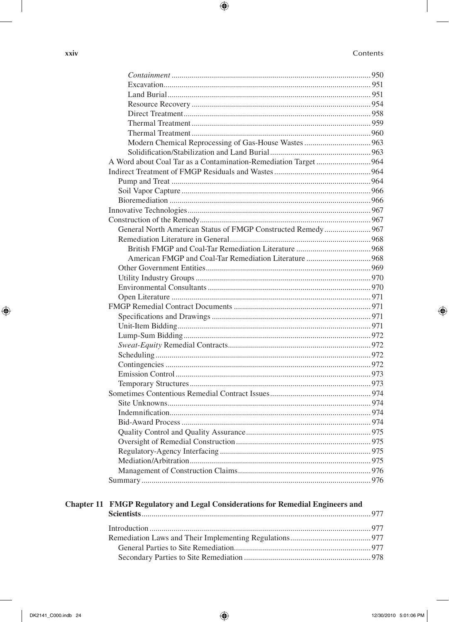#### Contents

| General North American Status of FMGP Constructed Remedy 967                          |  |
|---------------------------------------------------------------------------------------|--|
|                                                                                       |  |
|                                                                                       |  |
|                                                                                       |  |
|                                                                                       |  |
|                                                                                       |  |
|                                                                                       |  |
|                                                                                       |  |
|                                                                                       |  |
|                                                                                       |  |
|                                                                                       |  |
|                                                                                       |  |
|                                                                                       |  |
|                                                                                       |  |
|                                                                                       |  |
|                                                                                       |  |
|                                                                                       |  |
|                                                                                       |  |
|                                                                                       |  |
|                                                                                       |  |
|                                                                                       |  |
|                                                                                       |  |
|                                                                                       |  |
|                                                                                       |  |
|                                                                                       |  |
|                                                                                       |  |
|                                                                                       |  |
| <b>Chapter 11 FMGP Regulatory and Legal Considerations for Remedial Engineers and</b> |  |
|                                                                                       |  |
|                                                                                       |  |
|                                                                                       |  |
|                                                                                       |  |

 $\bigoplus$ 

xxiv

I

 $\bigoplus$ 

 $\bigoplus$ 

 $\bigoplus$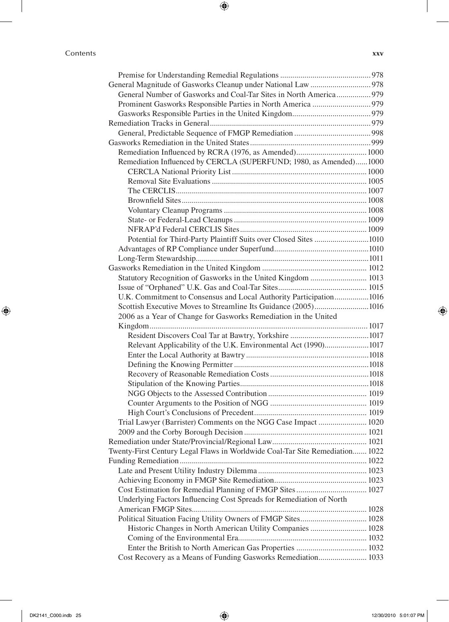#### Contents **xxv**

 $\overline{\phantom{a}}$ 

 $\bigoplus$ 

| General Number of Gasworks and Coal-Tar Sites in North America 979           |  |
|------------------------------------------------------------------------------|--|
|                                                                              |  |
|                                                                              |  |
|                                                                              |  |
|                                                                              |  |
|                                                                              |  |
|                                                                              |  |
| Remediation Influenced by CERCLA (SUPERFUND; 1980, as Amended)1000           |  |
|                                                                              |  |
|                                                                              |  |
|                                                                              |  |
|                                                                              |  |
|                                                                              |  |
|                                                                              |  |
|                                                                              |  |
| Potential for Third-Party Plaintiff Suits over Closed Sites 1010             |  |
|                                                                              |  |
|                                                                              |  |
|                                                                              |  |
| Statutory Recognition of Gasworks in the United Kingdom  1013                |  |
|                                                                              |  |
| U.K. Commitment to Consensus and Local Authority Participation1016           |  |
| Scottish Executive Moves to Streamline Its Guidance (2005)1016               |  |
| 2006 as a Year of Change for Gasworks Remediation in the United              |  |
|                                                                              |  |
|                                                                              |  |
| Relevant Applicability of the U.K. Environmental Act (1990)1017              |  |
|                                                                              |  |
|                                                                              |  |
|                                                                              |  |
|                                                                              |  |
|                                                                              |  |
|                                                                              |  |
|                                                                              |  |
| Trial Lawyer (Barrister) Comments on the NGG Case Impact  1020               |  |
|                                                                              |  |
|                                                                              |  |
| Twenty-First Century Legal Flaws in Worldwide Coal-Tar Site Remediation 1022 |  |
|                                                                              |  |
|                                                                              |  |
|                                                                              |  |
|                                                                              |  |
| Underlying Factors Influencing Cost Spreads for Remediation of North         |  |
|                                                                              |  |
|                                                                              |  |
| Historic Changes in North American Utility Companies  1028                   |  |
|                                                                              |  |
|                                                                              |  |
| Cost Recovery as a Means of Funding Gasworks Remediation 1033                |  |
|                                                                              |  |

 $\bigoplus$ 

 $\overline{\phantom{a}}$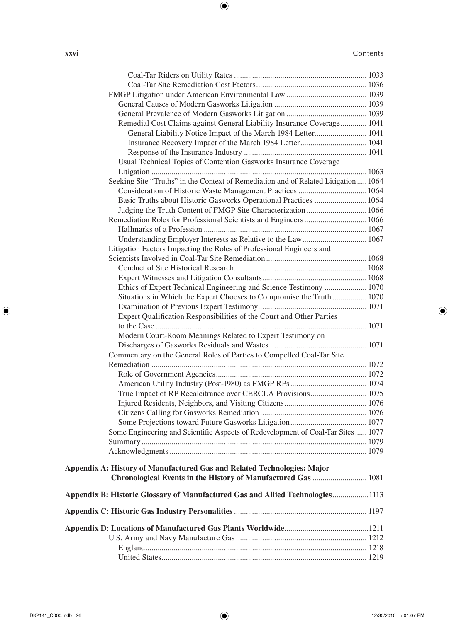**xxvi** Contents

 $\overline{\phantom{a}}$ 

 $\bigoplus$ 

| Remedial Cost Claims against General Liability Insurance Coverage 1041              |  |
|-------------------------------------------------------------------------------------|--|
| General Liability Notice Impact of the March 1984 Letter 1041                       |  |
|                                                                                     |  |
|                                                                                     |  |
| Usual Technical Topics of Contention Gasworks Insurance Coverage                    |  |
|                                                                                     |  |
| Seeking Site "Truths" in the Context of Remediation and of Related Litigation  1064 |  |
| Consideration of Historic Waste Management Practices  1064                          |  |
| Basic Truths about Historic Gasworks Operational Practices  1064                    |  |
| Judging the Truth Content of FMGP Site Characterization  1066                       |  |
| Remediation Roles for Professional Scientists and Engineers  1066                   |  |
|                                                                                     |  |
| Understanding Employer Interests as Relative to the Law 1067                        |  |
| Litigation Factors Impacting the Roles of Professional Engineers and                |  |
|                                                                                     |  |
|                                                                                     |  |
|                                                                                     |  |
| Ethics of Expert Technical Engineering and Science Testimony  1070                  |  |
| Situations in Which the Expert Chooses to Compromise the Truth  1070                |  |
|                                                                                     |  |
| Expert Qualification Responsibilities of the Court and Other Parties                |  |
|                                                                                     |  |
| Modern Court-Room Meanings Related to Expert Testimony on                           |  |
|                                                                                     |  |
| Commentary on the General Roles of Parties to Compelled Coal-Tar Site               |  |
|                                                                                     |  |
|                                                                                     |  |
|                                                                                     |  |
| True Impact of RP Recalcitrance over CERCLA Provisions 1075                         |  |
|                                                                                     |  |
|                                                                                     |  |
|                                                                                     |  |
| Some Engineering and Scientific Aspects of Redevelopment of Coal-Tar Sites 1077     |  |
|                                                                                     |  |
|                                                                                     |  |
| Appendix A: History of Manufactured Gas and Related Technologies: Major             |  |
| Chronological Events in the History of Manufactured Gas  1081                       |  |
|                                                                                     |  |
| Appendix B: Historic Glossary of Manufactured Gas and Allied Technologies1113       |  |
|                                                                                     |  |
|                                                                                     |  |
|                                                                                     |  |
|                                                                                     |  |
|                                                                                     |  |
|                                                                                     |  |

 $\bigoplus$ 

 $\overline{\phantom{a}}$ 

 $\bigoplus$ 

DK2141\_C000.indb 26 12/30/2010 5:01:07 PM 12/30/2010 5:01:07 PM 12/30 12/30 12/30 12/30 12/30 12/30 12/30 12/30 12/30 12/30 12/30 12/30 12/30 12/30 12/30 12/30 12/30 12/30 12/30 12/30 12/30 12/30 12/30 12/30 12/30 12/30 1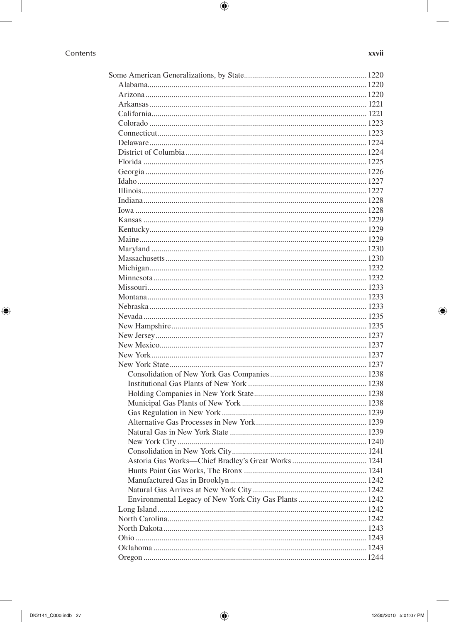|  | I<br>ī<br>ł<br>۰.<br>٧ |
|--|------------------------|

#### Contents

 $\overline{\phantom{a}}$ 

 $\bigoplus$ 

| -<br>i | н.<br>- | . . | ٠ |
|--------|---------|-----|---|

 $\overline{\phantom{a}}$ 

 $\bigoplus$ 

 $\bigoplus$ 

J

12/30/2010 5:01:07 PM